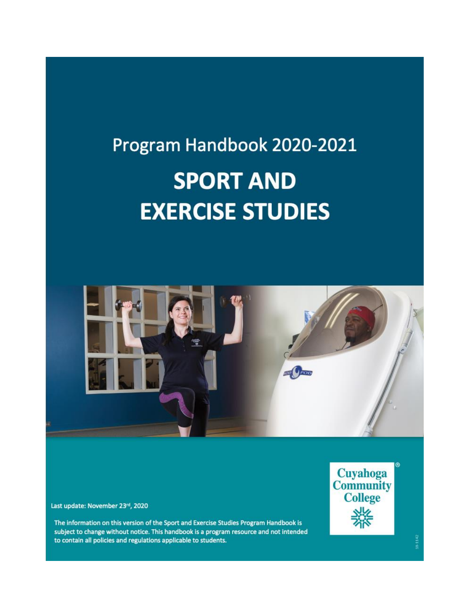# Program Handbook 2020-2021 **SPORT AND EXERCISE STUDIES**



Last update: November 23rd, 2020

The information on this version of the Sport and Exercise Studies Program Handbook is subject to change without notice. This handbook is a program resource and not intended to contain all policies and regulations applicable to students.

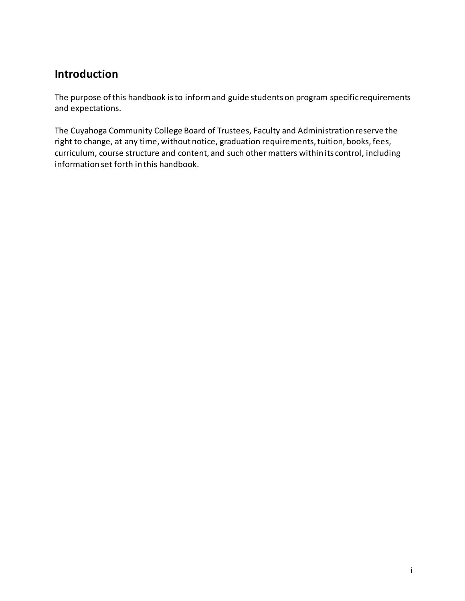# **Introduction**

The purpose of this handbook is to inform and guide students on program specific requirements and expectations.

The Cuyahoga Community College Board of Trustees, Faculty and Administration reserve the right to change, at any time, without notice, graduation requirements, tuition, books, fees, curriculum, course structure and content, and such other matters within its control, including information set forth in this handbook.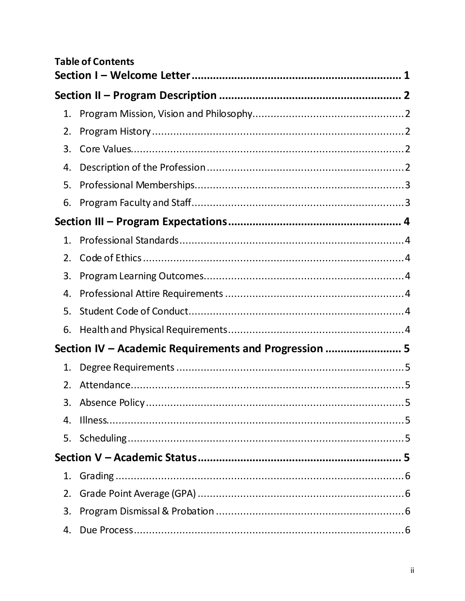|    | <b>Table of Contents</b>                              |  |  |  |
|----|-------------------------------------------------------|--|--|--|
|    |                                                       |  |  |  |
|    |                                                       |  |  |  |
| 1. |                                                       |  |  |  |
| 2. |                                                       |  |  |  |
| 3. |                                                       |  |  |  |
| 4. |                                                       |  |  |  |
| 5. |                                                       |  |  |  |
| 6. |                                                       |  |  |  |
|    |                                                       |  |  |  |
|    |                                                       |  |  |  |
| 2. |                                                       |  |  |  |
| 3. |                                                       |  |  |  |
| 4. |                                                       |  |  |  |
| 5. |                                                       |  |  |  |
| 6. |                                                       |  |  |  |
|    | Section IV - Academic Requirements and Progression  5 |  |  |  |
| 1. |                                                       |  |  |  |
| 2. |                                                       |  |  |  |
| 3. |                                                       |  |  |  |
| 4. |                                                       |  |  |  |
| 5. |                                                       |  |  |  |
|    |                                                       |  |  |  |
| 1. |                                                       |  |  |  |
| 2. |                                                       |  |  |  |
| 3. |                                                       |  |  |  |
| 4. |                                                       |  |  |  |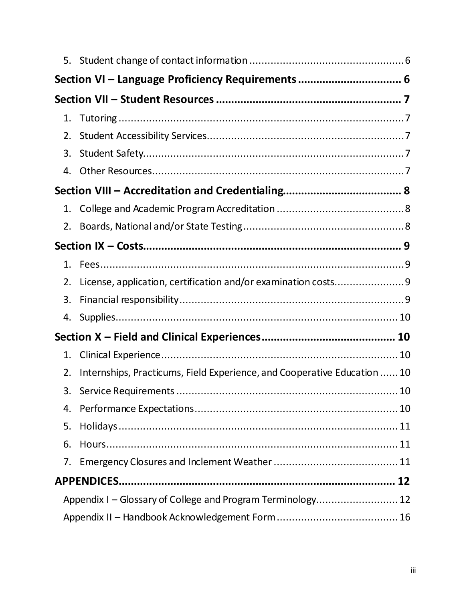|                                                             | Section VI - Language Proficiency Requirements  6                        |    |  |  |  |
|-------------------------------------------------------------|--------------------------------------------------------------------------|----|--|--|--|
|                                                             |                                                                          |    |  |  |  |
| 1.                                                          |                                                                          |    |  |  |  |
| 2.                                                          |                                                                          |    |  |  |  |
| 3.                                                          |                                                                          |    |  |  |  |
| 4.                                                          |                                                                          |    |  |  |  |
|                                                             |                                                                          |    |  |  |  |
| 1.                                                          |                                                                          |    |  |  |  |
| 2.                                                          |                                                                          |    |  |  |  |
|                                                             |                                                                          |    |  |  |  |
| 1.                                                          |                                                                          |    |  |  |  |
| 2.                                                          | License, application, certification and/or examination costs9            |    |  |  |  |
| 3.                                                          |                                                                          |    |  |  |  |
| 4.                                                          |                                                                          |    |  |  |  |
|                                                             |                                                                          |    |  |  |  |
| 1.                                                          |                                                                          |    |  |  |  |
| 2.                                                          | Internships, Practicums, Field Experience, and Cooperative Education  10 |    |  |  |  |
| 3.                                                          |                                                                          | 10 |  |  |  |
| 4.                                                          |                                                                          |    |  |  |  |
| 5.                                                          |                                                                          |    |  |  |  |
| 6.                                                          |                                                                          |    |  |  |  |
| 7.                                                          |                                                                          |    |  |  |  |
|                                                             |                                                                          |    |  |  |  |
| Appendix I – Glossary of College and Program Terminology 12 |                                                                          |    |  |  |  |
|                                                             |                                                                          |    |  |  |  |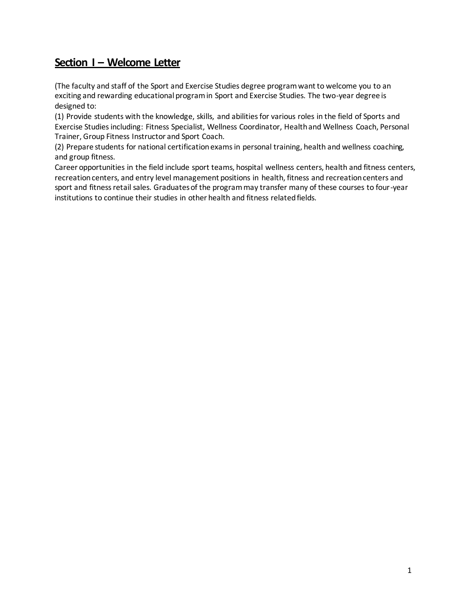## <span id="page-4-0"></span>**Section I – Welcome Letter**

(The faculty and staff of the Sport and Exercise Studies degree program want to welcome you to an exciting and rewarding educational program in Sport and Exercise Studies. The two-year degree is designed to:

(1) Provide students with the knowledge, skills, and abilities for various roles in the field of Sports and Exercise Studies including: Fitness Specialist, Wellness Coordinator, Health and Wellness Coach, Personal Trainer, Group Fitness Instructor and Sport Coach.

(2) Prepare students for national certification exams in personal training, health and wellness coaching, and group fitness.

Career opportunities in the field include sport teams, hospital wellness centers, health and fitness centers, recreation centers, and entry level management positions in health, fitness and recreation centers and sport and fitness retail sales. Graduates of the program may transfer many of these courses to four-year institutions to continue their studies in other health and fitness related fields.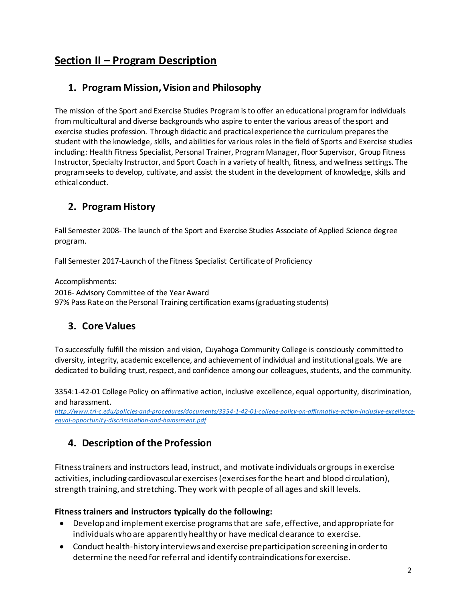# <span id="page-5-0"></span>**Section II – Program Description**

## <span id="page-5-1"></span>**1. Program Mission, Vision and Philosophy**

The mission of the Sport and Exercise Studies Program is to offer an educational program for individuals from multicultural and diverse backgrounds who aspire to enter the various areas of the sport and exercise studies profession. Through didactic and practical experience the curriculum prepares the student with the knowledge, skills, and abilities for various roles in the field of Sports and Exercise studies including: Health Fitness Specialist, Personal Trainer, Program Manager, Floor Supervisor, Group Fitness Instructor, Specialty Instructor, and Sport Coach in a variety of health, fitness, and wellness settings. The program seeks to develop, cultivate, and assist the student in the development of knowledge, skills and ethical conduct.

## <span id="page-5-2"></span>**2. Program History**

Fall Semester 2008- The launch of the Sport and Exercise Studies Associate of Applied Science degree program.

Fall Semester 2017-Launch of the Fitness Specialist Certificate of Proficiency

Accomplishments: 2016- Advisory Committee of the Year Award 97% Pass Rate on the Personal Training certification exams (graduating students)

## <span id="page-5-3"></span>**3. Core Values**

To successfully fulfill the mission and vision, Cuyahoga Community College is consciously committed to diversity, integrity, academic excellence, and achievement of individual and institutional goals. We are dedicated to building trust, respect, and confidence among our colleagues, students, and the community.

3354:1-42-01 College Policy on affirmative action, inclusive excellence, equal opportunity, discrimination, and harassment.

*[http://www.tri-c.edu/policies-and-procedures/documents/3354-1-42-01-college-policy-on-affirmative-action-inclusive-excellence](http://www.tri-c.edu/policies-and-procedures/documents/3354-1-42-01-college-policy-on-affirmative-action-inclusive-excellence-equal-opportunity-discrimination-and-harassment.pdf)[equal-opportunity-discrimination-and-harassment.pdf](http://www.tri-c.edu/policies-and-procedures/documents/3354-1-42-01-college-policy-on-affirmative-action-inclusive-excellence-equal-opportunity-discrimination-and-harassment.pdf)*

## <span id="page-5-4"></span>**4. Description of the Profession**

Fitness trainers and instructors lead, instruct, and motivate individuals or groups in exercise activities, including cardiovascular exercises (exercises for the heart and blood circulation), strength training, and stretching. They work with people of all ages and skill levels.

#### **Fitness trainers and instructors typically do the following:**

- Develop and implement exercise programs that are safe, effective, and appropriate for individuals who are apparently healthy or have medical clearance to exercise.
- Conduct health-history interviews and exercise preparticipation screening in order to determine the need for referral and identify contraindications for exercise.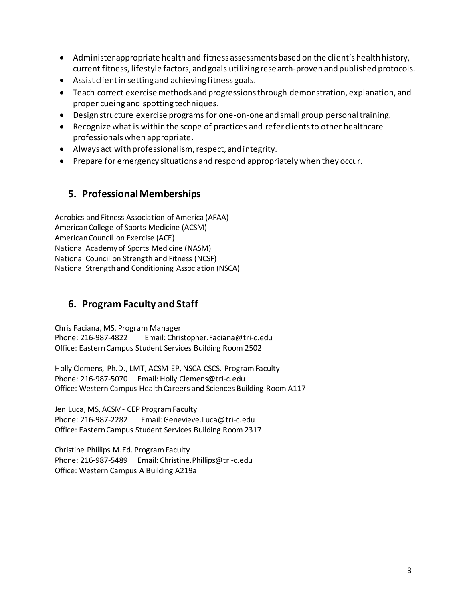- Administer appropriate health and fitness assessments based on the client's health history, current fitness, lifestyle factors, and goals utilizing research-proven and published protocols.
- Assist client in setting and achieving fitness goals.
- Teach correct exercise methods and progressions through demonstration, explanation, and proper cueing and spotting techniques.
- Design structure exercise programs for one-on-one and small group personal training.
- Recognize what is within the scope of practices and refer clients to other healthcare professionals when appropriate.
- Always act with professionalism, respect, and integrity.
- Prepare for emergency situations and respond appropriately when they occur.

#### <span id="page-6-0"></span>**5. ProfessionalMemberships**

Aerobics and Fitness Association of America [\(AFAA\)](http://www.afaa.com/) American College of Sports Medicine [\(ACSM\)](http://acsm.org/) American Council on Exercise [\(ACE\)](http://www.acefitness.org/) National Academy of Sports Medicine [\(NASM\)](http://www.nasm.org/) National Council on Strength and Fitness [\(NCSF\)](http://www.ncsf.org/) National Strength and Conditioning Association [\(NSCA\)](http://www.nsca.com/Home/)

## <span id="page-6-1"></span>**6. Program Faculty and Staff**

Chris Faciana, MS. Program Manager Phone: 216-987-4822 Email[: Christopher.Faciana@tri-c.edu](mailto:Christopher.Faciana@tri-c.edu) Office: Eastern Campus Student Services Building Room 2502

Holly Clemens, Ph.D., LMT, ACSM-EP, NSCA-CSCS. Program Faculty Phone: 216-987-5070 Email: [Holly.Clemens@tri-c.edu](mailto:Holly.Clemens@tri-c.edu) Office: Western Campus Health Careers and Sciences Building Room A117

Jen Luca, MS, ACSM- CEP Program Faculty Phone: 216-987-2282 Email: [Genevieve.Luca@tri-c.edu](mailto:Genevieve.Luca@tri-c.edu) Office: Eastern Campus Student Services Building Room 2317

Christine Phillips M.Ed. ProgramFaculty Phone: 216-987-5489 Email: [Christine.Phillips@tri-c.edu](mailto:Christine.Phillips@tri-c.edu) Office: Western Campus A Building A219a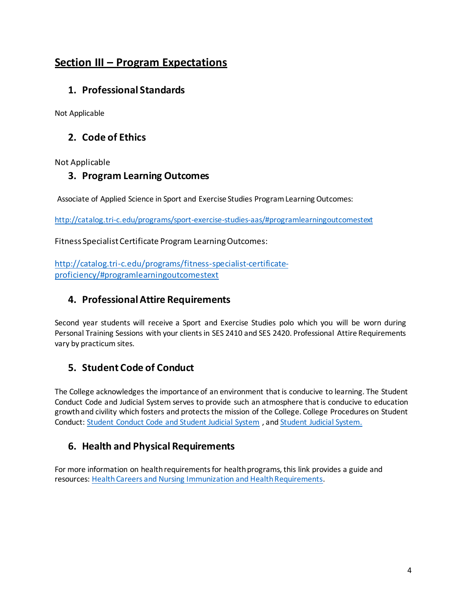## <span id="page-7-0"></span>**Section III – Program Expectations**

## <span id="page-7-1"></span>**1. Professional Standards**

Not Applicable

## <span id="page-7-2"></span>**2. Code of Ethics**

<span id="page-7-3"></span>Not Applicable

#### **3. Program Learning Outcomes**

Associate of Applied Science in Sport and Exercise Studies Program Learning Outcomes:

<http://catalog.tri-c.edu/programs/sport-exercise-studies-aas/#programlearningoutcomestext>

Fitness Specialist Certificate Program Learning Outcomes:

[http://catalog.tri-c.edu/programs/fitness-specialist-certificate](http://catalog.tri-c.edu/programs/fitness-specialist-certificate-proficiency/#programlearningoutcomestext)[proficiency/#programlearningoutcomestext](http://catalog.tri-c.edu/programs/fitness-specialist-certificate-proficiency/#programlearningoutcomestext)

## <span id="page-7-4"></span>**4. Professional Attire Requirements**

Second year students will receive a Sport and Exercise Studies polo which you will be worn during Personal Training Sessions with your clients in SES 2410 and SES 2420. Professional Attire Requirements vary by practicum sites.

## <span id="page-7-5"></span>**5. Student Code of Conduct**

The College acknowledges the importance of an environment that is conducive to learning. The Student Conduct Code and Judicial System serves to provide such an atmosphere that is conducive to education growth and civility which fosters and protects the mission of the College. College Procedures on Student Conduct: [Student Conduct Code and Student Judicial System](https://www.tri-c.edu/policies-and-procedures/documents/student-conduct-code.pdf) , an[d Student Judicial System.](http://www.tri-c.edu/policies-and-procedures/documents/student-judicial-system.pdf)

## <span id="page-7-6"></span>**6. Health and Physical Requirements**

For more information on health requirements for health programs, this link provides a guide and resources: [Health Careers and Nursing Immunization and Health Requirements.](https://www.tri-c.edu/programs/health-careers/documents/hcn-immunization-and-req-completion-guide.pdf)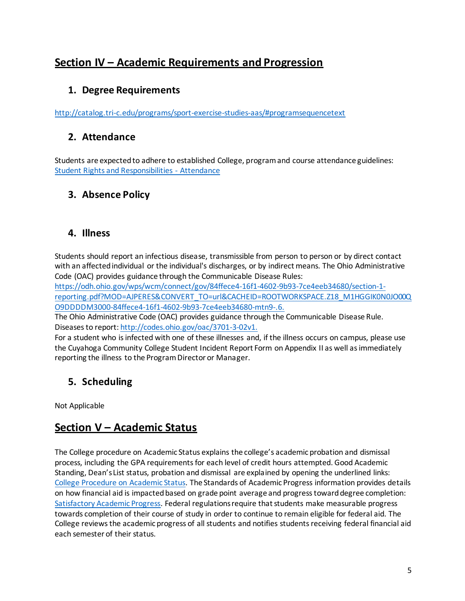## <span id="page-8-0"></span>**Section IV – Academic Requirements and Progression**

## <span id="page-8-1"></span>**1. Degree Requirements**

<span id="page-8-2"></span><http://catalog.tri-c.edu/programs/sport-exercise-studies-aas/#programsequencetext>

## **2. Attendance**

Students are expected to adhere to established College, program and course attendance guidelines: [Student Rights and Responsibilities -](http://catalog.tri-c.edu/student-information/student-rights-responsibilities/) Attendance

## <span id="page-8-3"></span>**3. Absence Policy**

#### <span id="page-8-4"></span>**4. Illness**

Students should report an infectious disease, transmissible from person to person or by direct contact with an affected individual or the individual's discharges, or by indirect means. The Ohio Administrative Code (OAC) provides guidance through the Communicable Disease Rules:

[https://odh.ohio.gov/wps/wcm/connect/gov/84ffece4-16f1-4602-9b93-7ce4eeb34680/section-1](https://odh.ohio.gov/wps/wcm/connect/gov/84ffece4-16f1-4602-9b93-7ce4eeb34680/section-1-reporting.pdf?MOD=AJPERES&CONVERT_TO=url&CACHEID=ROOTWORKSPACE.Z18_M1HGGIK0N0JO00QO9DDDDM3000-84ffece4-16f1-4602-9b93-7ce4eeb34680-mtn9-.6) [reporting.pdf?MOD=AJPERES&CONVERT\\_TO=url&CACHEID=ROOTWORKSPACE.Z18\\_M1HGGIK0N0JO00Q](https://odh.ohio.gov/wps/wcm/connect/gov/84ffece4-16f1-4602-9b93-7ce4eeb34680/section-1-reporting.pdf?MOD=AJPERES&CONVERT_TO=url&CACHEID=ROOTWORKSPACE.Z18_M1HGGIK0N0JO00QO9DDDDM3000-84ffece4-16f1-4602-9b93-7ce4eeb34680-mtn9-.6) [O9DDDDM3000-84ffece4-16f1-4602-9b93-7ce4eeb34680-mtn9-.6.](https://odh.ohio.gov/wps/wcm/connect/gov/84ffece4-16f1-4602-9b93-7ce4eeb34680/section-1-reporting.pdf?MOD=AJPERES&CONVERT_TO=url&CACHEID=ROOTWORKSPACE.Z18_M1HGGIK0N0JO00QO9DDDDM3000-84ffece4-16f1-4602-9b93-7ce4eeb34680-mtn9-.6)

The Ohio Administrative Code (OAC) provides guidance through the Communicable Disease Rule. Diseases to report[: http://codes.ohio.gov/oac/3701-3-02v1.](http://codes.ohio.gov/oac/3701-3-02v1)

For a student who is infected with one of these illnesses and, if the illness occurs on campus, please use the Cuyahoga Community College Student Incident Report Form on Appendix II as well as immediately reporting the illness to the Program Director or Manager.

## <span id="page-8-5"></span>**5. Scheduling**

Not Applicable

## <span id="page-8-6"></span>**Section V – Academic Status**

The College procedure on Academic Status explains the college's academic probation and dismissal process, including the GPA requirements for each level of credit hours attempted. Good Academic Standing, Dean's List status, probation and dismissal are explained by opening the underlined links: [College Procedure on Academic Status.](http://www.tri-c.edu/policies-and-procedures/documents/3354-1-30-03-3-procedure-on-academic-status.pdf) The Standards of Academic Progress information provides details on how financial aid is impacted based on grade point average and progress toward degree completion: [Satisfactory Academic Progress.](http://www.tri-c.edu/paying-for-college/financial-aid-and-scholarships/sap-success-seminar.html) Federal regulations require that students make measurable progress towards completion of their course of study in order to continue to remain eligible for federal aid. The College reviews the academic progress of all students and notifies students receiving federal financial aid each semester of their status.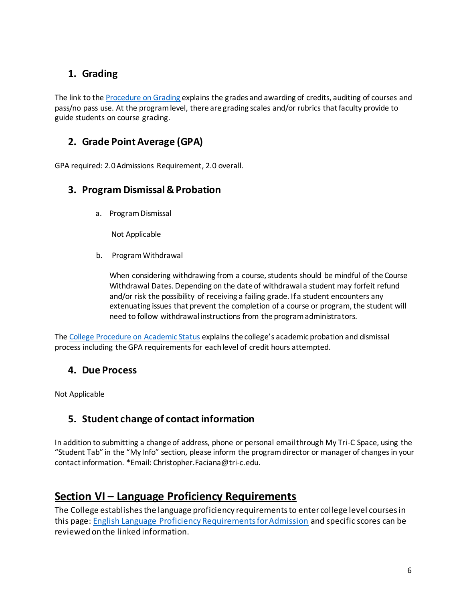## <span id="page-9-0"></span>**1. Grading**

The link to the [Procedure on Grading](https://www.tri-c.edu/policies-and-procedures/documents/procedure-on-grading-and-awarding-of-credit.pdf) explains the grades and awarding of credits, auditing of courses and pass/no pass use. At the program level, there are grading scales and/or rubrics that faculty provide to guide students on course grading.

## <span id="page-9-1"></span>**2. Grade Point Average (GPA)**

GPA required: 2.0 Admissions Requirement, 2.0 overall.

#### <span id="page-9-2"></span>**3. Program Dismissal & Probation**

a. ProgramDismissal

Not Applicable

b. Program Withdrawal

When considering withdrawing from a course, students should be mindful of the Course Withdrawal Dates. Depending on the date of withdrawal a student may forfeit refund and/or risk the possibility of receiving a failing grade. If a student encounters any extenuating issues that prevent the completion of a course or program, the student will need to follow withdrawal instructions from the program administrators.

The [College Procedure on Academic Status](http://www.tri-c.edu/policies-and-procedures/documents/3354-1-30-03-3-procedure-on-academic-status.pdf) explains the college's academic probation and dismissal process including the GPA requirements for each level of credit hours attempted.

## <span id="page-9-3"></span>**4. Due Process**

<span id="page-9-4"></span>Not Applicable

## **5. Student change of contact information**

In addition to submitting a change of address, phone or personal email through My Tri-C Space, using the "Student Tab" in the "My Info" section, please inform the program director or manager of changes in your contact information. \*Email: [Christopher.Faciana@tri-c.edu.](mailto:Christopher.Faciana@tri-c.edu)

## <span id="page-9-5"></span>**Section VI – Language Proficiency Requirements**

The College establishes the language proficiency requirements to enter college level courses in this page[: English Language Proficiency Requirements for Admission](http://www.tri-c.edu/get-started/international-students/english-language-proficiency-requirements-for-admission.html) and specific scores can be reviewed on the linked information.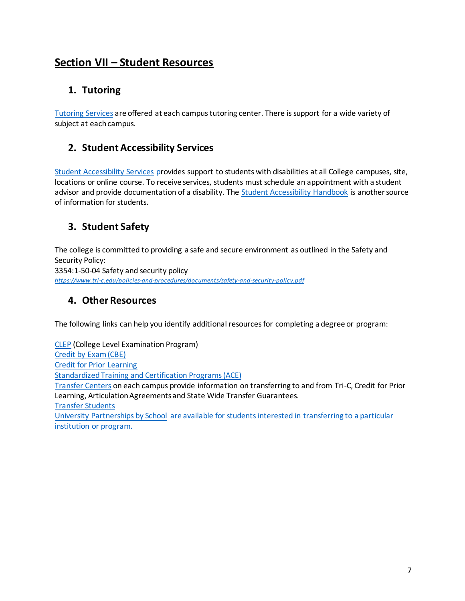## <span id="page-10-0"></span>**Section VII – Student Resources**

## <span id="page-10-1"></span>**1. Tutoring**

[Tutoring Services](http://www.tri-c.edu/tutoring/) are offered at each campus tutoring center. There is support for a wide variety of subject at each campus.

## <span id="page-10-2"></span>**2. Student Accessibility Services**

[Student Accessibility Services](http://www.tri-c.edu/student-accessibility-services/index.html) provides support to students with disabilities at all College campuses, site, locations or online course. To receive services, students must schedule an appointment with a student advisor and provide documentation of a disability. The [Student Accessibility Handbook](http://www.tri-c.edu/student-accessibility-services/documents/Access%20Student%20Handbook.pdf) is another source of information for students.

## <span id="page-10-3"></span>**3. Student Safety**

The college is committed to providing a safe and secure environment as outlined in the Safety and Security Policy: 3354:1-50-04 Safety and security policy *<https://www.tri-c.edu/policies-and-procedures/documents/safety-and-security-policy.pdf>*

## <span id="page-10-4"></span>**4. Other Resources**

The following links can help you identify additional resources for completing a degree or program:

[CLEP](http://www.tri-c.edu/placement-testing/clep-exams.html) (College Level Examination Program) [Credit by Exam \(CBE\)](http://www.tri-c.edu/transfer-center/documents/credit-by-exam.pdf) [Credit for Prior Learning](http://www.tri-c.edu/transfer-center/prior-learning-assessment.html) [Standardized Training and Certification Programs \(ACE\)](https://www.tri-c.edu/transfer-center/documents/ace.pdf) [Transfer Centers](http://www.tri-c.edu/transfer-center/) on each campus provide information on transferring to and from Tri-C, Credit for Prior Learning, Articulation Agreements and State Wide Transfer Guarantees.

[Transfer Students](http://www.tri-c.edu/get-started/transfer-students.html)

[University Partnerships by School](http://www.tri-c.edu/transfer-center/university-partnerships/index.html) are available for students interested in transferring to a particular institution or program.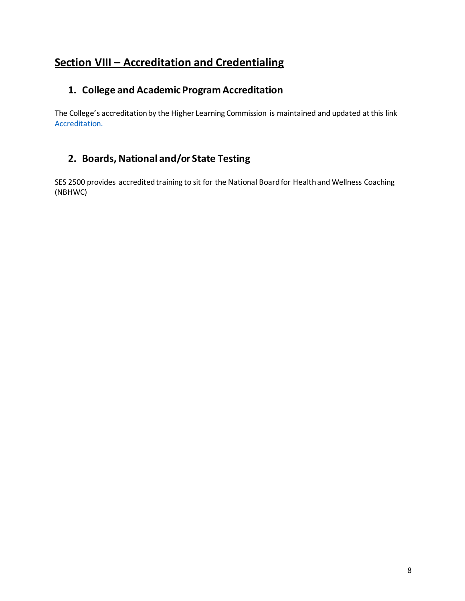# <span id="page-11-0"></span>**Section VIII – Accreditation and Credentialing**

## <span id="page-11-1"></span>**1. College and Academic Program Accreditation**

The College's accreditation by the Higher Learning Commission is maintained and updated at this link [Accreditation.](http://www.tri-c.edu/about/accreditation/index.html)

## <span id="page-11-2"></span>**2. Boards, National and/or State Testing**

SES 2500 provides accredited training to sit for the National Board for Health and Wellness Coaching (NBHWC)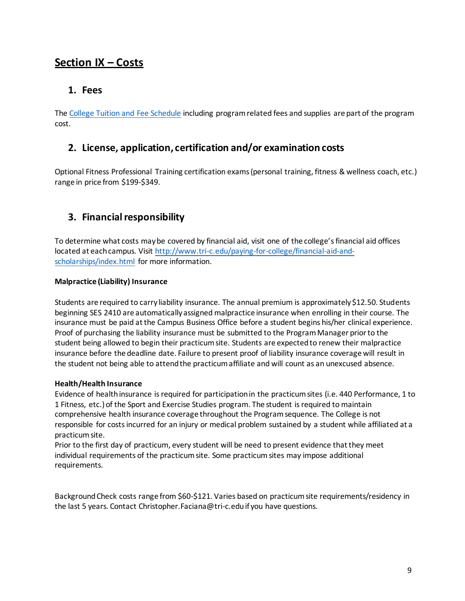## <span id="page-12-0"></span>**Section IX – Costs**

#### <span id="page-12-1"></span>**1. Fees**

The [College Tuition and Fee Schedule](http://www.tri-c.edu/paying-for-college/tuition-and-fees/) including program related fees and supplies are part of the program cost.

#### <span id="page-12-2"></span>**2. License, application, certification and/or examination costs**

Optional Fitness Professional Training certification exams (personal training, fitness & wellness coach, etc.) range in price from \$199-\$349.

## <span id="page-12-3"></span>**3. Financial responsibility**

To determine what costs may be covered by financial aid, visit one of the college's financial aid offices located at each campus. Visit [http://www.tri-c.edu/paying-for-college/financial-aid-and](http://www.tri-c.edu/paying-for-college/financial-aid-and-scholarships/index.html)[scholarships/index.html](http://www.tri-c.edu/paying-for-college/financial-aid-and-scholarships/index.html) for more information.

#### **Malpractice (Liability) Insurance**

Students are required to carry liability insurance. The annual premium is approximately \$12.50. Students beginning SES 2410 are automatically assigned malpractice insurance when enrolling in their course. The insurance must be paid at the Campus Business Office before a student begins his/her clinical experience. Proof of purchasing the liability insurance must be submitted to the Program Manager prior to the student being allowed to begin their practicum site. Students are expected to renew their malpractice insurance before the deadline date. Failure to present proof of liability insurance coverage will result in the student not being able to attend the practicum affiliate and will count as an unexcused absence.

#### **Health/Health Insurance**

Evidence of health insurance is required for participation in the practicum sites (i.e. 440 Performance, 1 to 1 Fitness, etc.) of the Sport and Exercise Studies program. The student is required to maintain comprehensive health insurance coverage throughout the Program sequence. The College is not responsible for costs incurred for an injury or medical problem sustained by a student while affiliated at a practicumsite.

Prior to the first day of practicum, every student will be need to present evidence that they meet individual requirements of the practicum site. Some practicum sites may impose additional requirements.

Background Check costs range from \$60-\$121. Varies based on practicum site requirements/residency in the last 5 years. Contact [Christopher.Faciana@tri-c.edu i](mailto:Christopher.Faciana@tri-c.edu)f you have questions.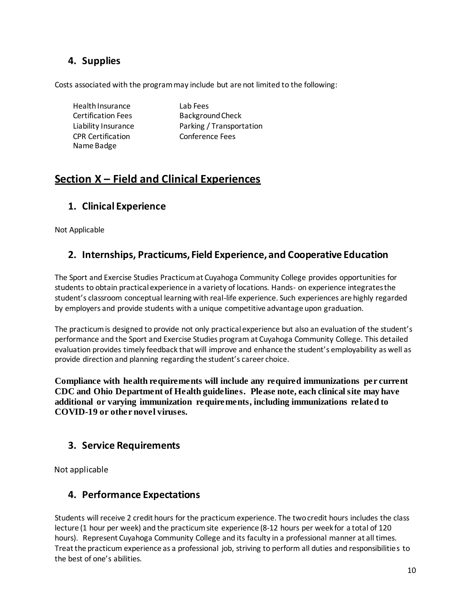## <span id="page-13-0"></span>**4. Supplies**

Costs associated with the program may include but are not limited to the following:

Health Insurance Lab Fees CPR Certification Name Badge

Certification Fees Background Check Liability Insurance Parking / Transportation Conference Fees

## <span id="page-13-1"></span>**Section X – Field and Clinical Experiences**

## <span id="page-13-2"></span>**1. Clinical Experience**

<span id="page-13-3"></span>Not Applicable

## **2. Internships, Practicums, Field Experience, and Cooperative Education**

The Sport and Exercise Studies Practicum at Cuyahoga Community College provides opportunities for students to obtain practical experience in a variety of locations. Hands- on experience integrates the student's classroom conceptual learning with real-life experience. Such experiences are highly regarded by employers and provide students with a unique competitive advantage upon graduation.

The practicum is designed to provide not only practical experience but also an evaluation of the student's performance and the Sport and Exercise Studies program at Cuyahoga Community College. This detailed evaluation provides timely feedback that will improve and enhance the student's employability as well as provide direction and planning regarding the student's career choice.

**Compliance with health requirements will include any required immunizations per current CDC and Ohio Department of Health guidelines. Please note, each clinical site may have additional or varying immunization requirements, including immunizations related to COVID-19 or other novel viruses.**

## <span id="page-13-4"></span>**3. Service Requirements**

Not applicable

## <span id="page-13-5"></span>**4. Performance Expectations**

Students will receive 2 credit hours for the practicum experience. The two credit hours includes the class lecture (1 hour per week) and the practicum site experience (8-12 hours per week for a total of 120 hours). Represent Cuyahoga Community College and its faculty in a professional manner at all times. Treat the practicum experience as a professional job, striving to perform all duties and responsibilities to the best of one's abilities.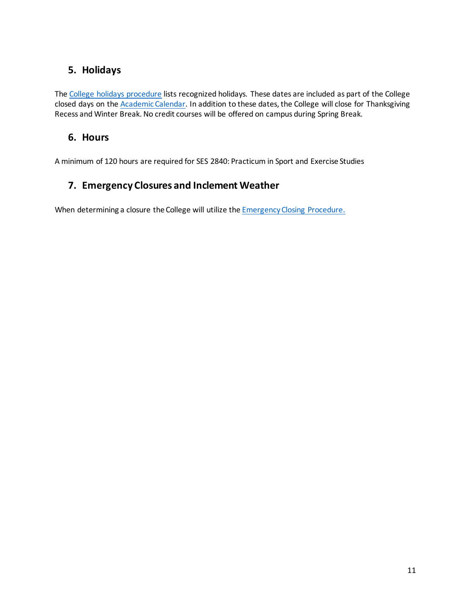## <span id="page-14-0"></span>**5. Holidays**

The [College holidays procedure](https://www.tri-c.edu/policies-and-procedures/documents/college-holidays-procedure.pdf) lists recognized holidays. These dates are included as part of the College closed days on th[e Academic Calendar.](http://www.tri-c.edu/search-results.html?cx=013281905404444151491%3A4djhmeoq1wu&ie=UTF-8&q=academic%2Bcalendar&searchButton=%23gsc.tab%3D0&gsc.q=academic%20calendar&gsc.page=1) In addition to these dates, the College will close for Thanksgiving Recess and Winter Break. No credit courses will be offered on campus during Spring Break.

#### <span id="page-14-1"></span>**6. Hours**

A minimum of 120 hours are required for SES 2840: Practicum in Sport and Exercise Studies

## <span id="page-14-2"></span>**7. Emergency Closures and Inclement Weather**

When determining a closure the College will utilize th[e Emergency Closing Procedure](http://catalog.tri-c.edu/student-information/student-rights-responsibilities/).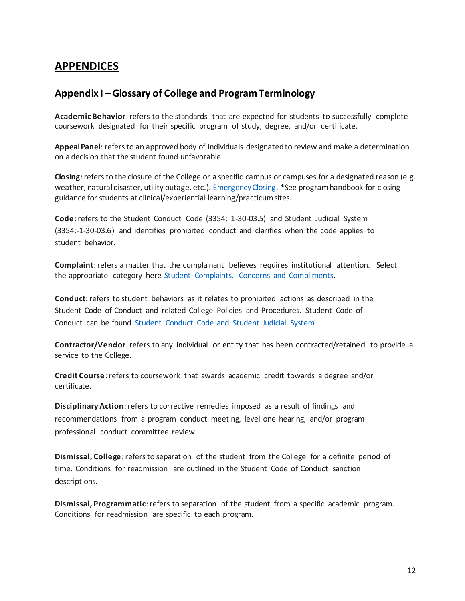## <span id="page-15-0"></span>**APPENDICES**

#### <span id="page-15-1"></span>**Appendix I – Glossary of College and Program Terminology**

**Academic Behavior**: refers to the standards that are expected for students to successfully complete coursework designated for their specific program of study, degree, and/or certificate.

**Appeal Panel**: refers to an approved body of individuals designated to review and make a determination on a decision that the student found unfavorable.

**Closing**: refers to the closure of the College or a specific campus or campuses for a designated reason (e.g. weather, natural disaster, utility outage, etc.)[. Emergency Closing.](http://www.tri-c.edu/administrative-departments/campus-police/emergency-closing.html) \*See program handbook for closing guidance for students at clinical/experiential learning/practicum sites.

**Code:** refers to the Student Conduct Code (3354: 1-30-03.5) and Student Judicial System (3354:-1-30-03.6) and identifies prohibited conduct and clarifies when the code applies to student behavior.

**Complaint**: refers a matter that the complainant believes requires institutional attention. Select the appropriate category here [Student Complaints, Concerns and](http://www.tri-c.edu/student-resources/student-complaints-and-concerns/index.html) Compliments.

**Conduct:** refers to student behaviors as it relates to prohibited actions as described in the Student Code of Conduct and related College Policies and Procedures. Student Code of Conduct can be found [Student Conduct Code and Student Judicial System](https://www.tri-c.edu/policies-and-procedures/documents/student-conduct-code.pdf)

**Contractor/Vendor**: refers to any individual or entity that has been contracted/retained to provide a service to the College.

**Credit Course**: refers to coursework that awards academic credit towards a degree and/or certificate.

**Disciplinary Action**: refers to corrective remedies imposed as a result of findings and recommendations from a program conduct meeting, level one hearing, and/or program professional conduct committee review.

**Dismissal, College**: refers to separation of the student from the College for a definite period of time. Conditions for readmission are outlined in the Student Code of Conduct sanction descriptions.

**Dismissal, Programmatic**: refers to separation of the student from a specific academic program. Conditions for readmission are specific to each program.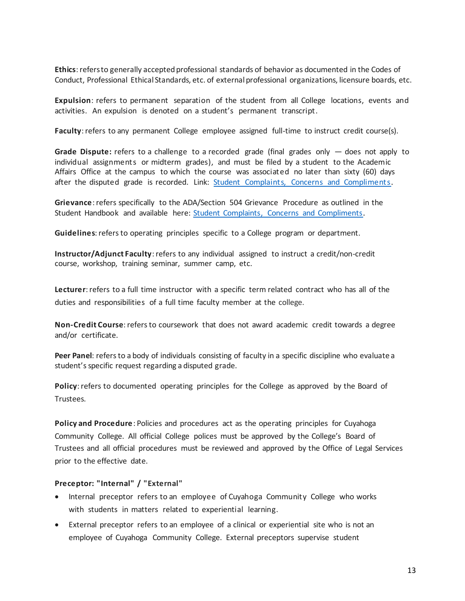**Ethics**: refers to generally accepted professional standards of behavior as documented in the Codes of Conduct, Professional Ethical Standards, etc. of external professional organizations, licensure boards, etc.

**Expulsion**: refers to permanent separation of the student from all College locations, events and activities. An expulsion is denoted on a student's permanent transcript.

**Faculty**: refers to any permanent College employee assigned full-time to instruct credit course(s).

**Grade Dispute:** refers to a challenge to a recorded grade (final grades only — does not apply to individual assignments or midterm grades), and must be filed by a student to the Academic Affairs Office at the campus to which the course was associated no later than sixty (60) days after the disputed grade is recorded. Link: [Student Complaints, Concerns and Compliments.](http://www.tri-c.edu/student-resources/student-complaints-and-concerns/index.html)

**Grievance**: refers specifically to the ADA/Section 504 Grievance Procedure as outlined in the Student Handbook and available here: [Student Complaints, Concerns and Compliments.](http://www.tri-c.edu/student-resources/student-complaints-and-concerns/index.html)

**Guidelines**: refers to operating principles specific to a College program or department.

**Instructor/Adjunct Faculty**: refers to any individual assigned to instruct a credit/non-credit course, workshop, training seminar, summer camp, etc.

**Lecturer**: refers to a full time instructor with a specific term related contract who has all of the duties and responsibilities of a full time faculty member at the college.

**Non-Credit Course**: refers to coursework that does not award academic credit towards a degree and/or certificate.

**Peer Panel**: refers to a body of individuals consisting of faculty in a specific discipline who evaluate a student's specific request regarding a disputed grade.

**Policy**: refers to documented operating principles for the College as approved by the Board of Trustees.

**Policy and Procedure**: Policies and procedures act as the operating principles for Cuyahoga Community College. All official College polices must be approved by the College's Board of Trustees and all official procedures must be reviewed and approved by the Office of Legal Services prior to the effective date.

#### **Preceptor: "Internal" / "External"**

- Internal preceptor refers to an employee of Cuyahoga Community College who works with students in matters related to experiential learning.
- External preceptor refers to an employee of a clinical or experiential site who is not an employee of Cuyahoga Community College. External preceptors supervise student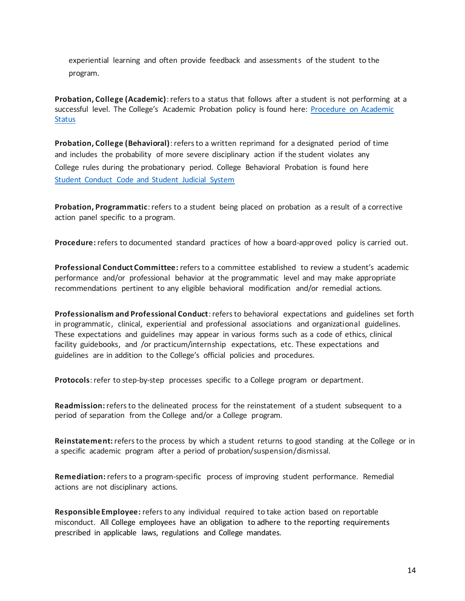experiential learning and often provide feedback and assessments of the student to the program.

**Probation, College (Academic)**: refers to a status that follows after a student is not performing at a successful level. The College's Academic Probation policy is found here: [Procedure on Academic](https://www.tri-c.edu/policies-and-procedures/documents/3354-1-30-03-3-procedure-on-academic-status.pdf) [Status](https://www.tri-c.edu/policies-and-procedures/documents/3354-1-30-03-3-procedure-on-academic-status.pdf)

**Probation, College (Behavioral)**: refers to a written reprimand for a designated period of time and includes the probability of more severe disciplinary action if the student violates any College rules during the probationary period. College Behavioral Probation is found here [Student Conduct Code and Student Judicial System](https://www.tri-c.edu/policies-and-procedures/documents/student-conduct-code.pdf)

**Probation, Programmatic**: refers to a student being placed on probation as a result of a corrective action panel specific to a program.

**Procedure:** refers to documented standard practices of how a board-approved policy is carried out.

**Professional Conduct Committee:** refers to a committee established to review a student's academic performance and/or professional behavior at the programmatic level and may make appropriate recommendations pertinent to any eligible behavioral modification and/or remedial actions.

**Professionalism and Professional Conduct**: refers to behavioral expectations and guidelines set forth in programmatic, clinical, experiential and professional associations and organizational guidelines. These expectations and guidelines may appear in various forms such as a code of ethics, clinical facility guidebooks, and /or practicum/internship expectations, etc. These expectations and guidelines are in addition to the College's official policies and procedures.

**Protocols**: refer to step-by-step processes specific to a College program or department.

**Readmission:** refers to the delineated process for the reinstatement of a student subsequent to a period of separation from the College and/or a College program.

**Reinstatement:** refers to the process by which a student returns to good standing at the College or in a specific academic program after a period of probation/suspension/dismissal.

**Remediation:** refers to a program-specific process of improving student performance. Remedial actions are not disciplinary actions.

**Responsible Employee:** refers to any individual required to take action based on reportable misconduct. All College employees have an obligation to adhere to the reporting requirements prescribed in applicable laws, regulations and College mandates.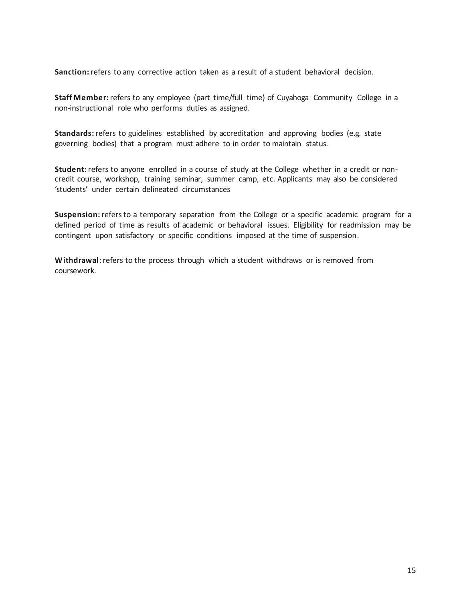**Sanction:** refers to any corrective action taken as a result of a student behavioral decision.

**Staff Member:** refers to any employee (part time/full time) of Cuyahoga Community College in a non-instructional role who performs duties as assigned.

**Standards:** refers to guidelines established by accreditation and approving bodies (e.g. state governing bodies) that a program must adhere to in order to maintain status.

**Student:** refers to anyone enrolled in a course of study at the College whether in a credit or noncredit course, workshop, training seminar, summer camp, etc. Applicants may also be considered 'students' under certain delineated circumstances

**Suspension:** refers to a temporary separation from the College or a specific academic program for a defined period of time as results of academic or behavioral issues. Eligibility for readmission may be contingent upon satisfactory or specific conditions imposed at the time of suspension.

**Withdrawal**: refers to the process through which a student withdraws or is removed from coursework.